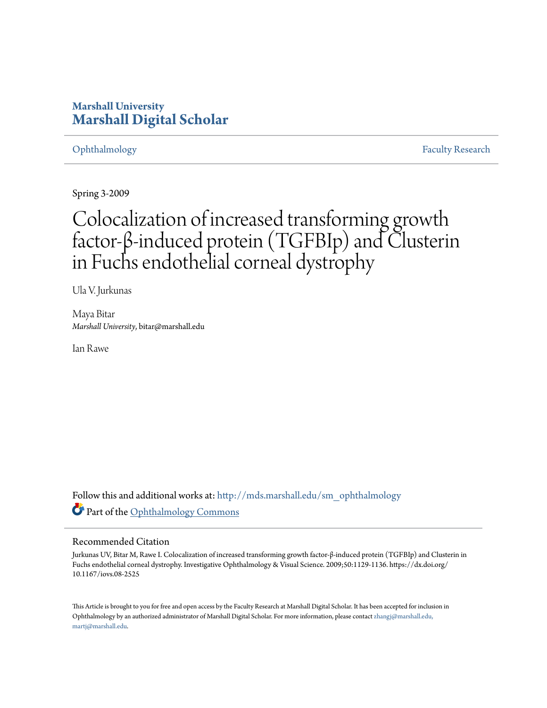### **Marshall University [Marshall Digital Scholar](http://mds.marshall.edu?utm_source=mds.marshall.edu%2Fsm_ophthalmology%2F7&utm_medium=PDF&utm_campaign=PDFCoverPages)**

[Ophthalmology](http://mds.marshall.edu/sm_ophthalmology?utm_source=mds.marshall.edu%2Fsm_ophthalmology%2F7&utm_medium=PDF&utm_campaign=PDFCoverPages) [Faculty Research](http://mds.marshall.edu/sm_faculty?utm_source=mds.marshall.edu%2Fsm_ophthalmology%2F7&utm_medium=PDF&utm_campaign=PDFCoverPages)

Spring 3-2009

# Colocalization of increased transforming growth factor-β-induced protein (TGFBIp) and Clusterin in Fuchs endothelial corneal dystrophy

Ula V. Jurkunas

Maya Bitar *Marshall University*, bitar@marshall.edu

Ian Rawe

Follow this and additional works at: [http://mds.marshall.edu/sm\\_ophthalmology](http://mds.marshall.edu/sm_ophthalmology?utm_source=mds.marshall.edu%2Fsm_ophthalmology%2F7&utm_medium=PDF&utm_campaign=PDFCoverPages) Part of the [Ophthalmology Commons](http://network.bepress.com/hgg/discipline/695?utm_source=mds.marshall.edu%2Fsm_ophthalmology%2F7&utm_medium=PDF&utm_campaign=PDFCoverPages)

### Recommended Citation

Jurkunas UV, Bitar M, Rawe I. Colocalization of increased transforming growth factor-β-induced protein (TGFBIp) and Clusterin in Fuchs endothelial corneal dystrophy. Investigative Ophthalmology & Visual Science. 2009;50:1129-1136. https://dx.doi.org/ 10.1167/iovs.08-2525

This Article is brought to you for free and open access by the Faculty Research at Marshall Digital Scholar. It has been accepted for inclusion in Ophthalmology by an authorized administrator of Marshall Digital Scholar. For more information, please contact [zhangj@marshall.edu,](mailto:zhangj@marshall.edu,%20martj@marshall.edu) [martj@marshall.edu](mailto:zhangj@marshall.edu,%20martj@marshall.edu).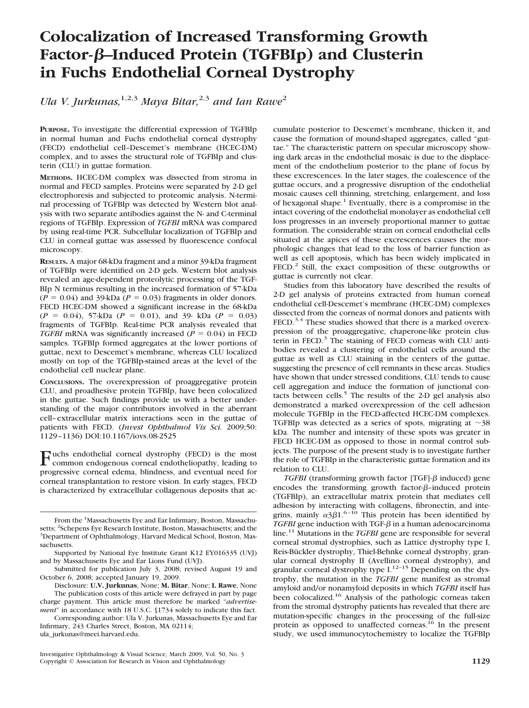## **Colocalization of Increased Transforming Growth Factor-–Induced Protein (TGFBIp) and Clusterin in Fuchs Endothelial Corneal Dystrophy**

*Ula V. Jurkunas,*1,2,3 *Maya Bitar,*2,3 *and Ian Rawe*<sup>2</sup>

**PURPOSE.** To investigate the differential expression of TGFBIp in normal human and Fuchs endothelial corneal dystrophy (FECD) endothelial cell–Descemet's membrane (HCEC-DM) complex, and to asses the structural role of TGFBIp and clusterin (CLU) in guttae formation.

**METHODS.** HCEC-DM complex was dissected from stroma in normal and FECD samples. Proteins were separated by 2-D gel electrophoresis and subjected to proteomic analysis. N-terminal processing of TGFBIp was detected by Western blot analysis with two separate antibodies against the N- and C-terminal regions of TGFBIp. Expression of *TGFBI* mRNA was compared by using real-time PCR. Subcellular localization of TGFBIp and CLU in corneal guttae was assessed by fluorescence confocal microscopy.

**RESULTS.** A major 68-kDa fragment and a minor 39-kDa fragment of TGFBIp were identified on 2-D gels. Western blot analysis revealed an age-dependent proteolytic processing of the TGF-BIp N terminus resulting in the increased formation of 57-kDa  $(P = 0.04)$  and 39-kDa  $(P = 0.03)$  fragments in older donors. FECD HCEC-DM showed a significant increase in the 68-kDa  $(P = 0.04)$ , 57-kDa  $(P = 0.01)$ , and 39- kDa  $(P = 0.03)$ fragments of TGFBIp. Real-time PCR analysis revealed that *TGFBI* mRNA was significantly increased ( $P = 0.04$ ) in FECD samples. TGFBIp formed aggregates at the lower portions of guttae, next to Descemet's membrane, whereas CLU localized mostly on top of the TGFBIp-stained areas at the level of the endothelial cell nuclear plane.

**CONCLUSIONS.** The overexpression of proaggregative protein CLU, and proadhesive protein TGFBIp, have been colocalized in the guttae. Such findings provide us with a better understanding of the major contributors involved in the aberrant cell–extracellular matrix interactions seen in the guttae of patients with FECD. (*Invest Ophthalmol Vis Sci.* 2009;50: 1129–1136) DOI:10.1167/iovs.08-2525

Fuchs endothelial corneal dystrophy (FECD) is the most common endogenous corneal endotheliopathy, leading to progressive corneal edema, blindness, and eventual need for corneal transplantation to restore vision. In early stages, FECD is characterized by extracellular collagenous deposits that ac-

*ment*" in accordance with 18 U.S.C. §1734 solely to indicate this fact. Corresponding author: Ula V. Jurkunas, Massachusetts Eye and Ear Infirmary, 243 Charles Street, Boston, MA 02114;

ula\_jurkunas@meei.harvard.edu.

cumulate posterior to Descemet's membrane, thicken it, and cause the formation of mound-shaped aggregates, called "guttae." The characteristic pattern on specular microscopy showing dark areas in the endothelial mosaic is due to the displacement of the endothelium posterior to the plane of focus by these excrescences. In the later stages, the coalescence of the guttae occurs, and a progressive disruption of the endothelial mosaic causes cell thinning, stretching, enlargement, and loss of hexagonal shape.<sup>1</sup> Eventually, there is a compromise in the intact covering of the endothelial monolayer as endothelial cell loss progresses in an inversely proportional manner to guttae formation. The considerable strain on corneal endothelial cells situated at the apices of these excrescences causes the morphologic changes that lead to the loss of barrier function as well as cell apoptosis, which has been widely implicated in FECD.<sup>2</sup> Still, the exact composition of these outgrowths or guttae is currently not clear.

Studies from this laboratory have described the results of 2-D gel analysis of proteins extracted from human corneal endothelial cell-Descemet's membrane (HCEC-DM) complexes dissected from the corneas of normal donors and patients with FECD. $3,4$  These studies showed that there is a marked overexpression of the proaggregative, chaperone-like protein clusterin in FECD.<sup>3</sup> The staining of FECD corneas with CLU antibodies revealed a clustering of endothelial cells around the guttae as well as CLU staining in the centers of the guttae, suggesting the presence of cell remnants in these areas. Studies have shown that under stressed conditions, CLU tends to cause cell aggregation and induce the formation of junctional contacts between cells.<sup>5</sup> The results of the 2-D gel analysis also demonstrated a marked overexpression of the cell adhesion molecule TGFBIp in the FECD-affected HCEC-DM complexes. TGFBIp was detected as a series of spots, migrating at  $\sim$ 38 kDa. The number and intensity of these spots was greater in FECD HCEC-DM as opposed to those in normal control subjects. The purpose of the present study is to investigate further the role of TGFBIp in the characteristic guttae formation and its relation to CLU.

*TGFBI* (transforming growth factor  $[TGF]-\beta$  induced) gene encodes the transforming growth factor- $\beta$ -induced protein (TGFBIp), an extracellular matrix protein that mediates cell adhesion by interacting with collagens, fibronectin, and integrins, mainly  $\alpha$ 3 $\beta$ 1.<sup>6-10</sup> This protein has been identified by  $TGFBI$  gene induction with  $TGF-B$  in a human adenocarcinoma line.<sup>11</sup> Mutations in the *TGFBI* gene are responsible for several corneal stromal dystrophies, such as Lattice dystrophy type I, Reis-Bückler dystrophy, Thiel-Behnke corneal dystrophy, granular corneal dystrophy II (Avellino corneal dystrophy), and granular corneal dystrophy type  $I^{12-15}$  Depending on the dystrophy, the mutation in the *TGFBI* gene manifest as stromal amyloid and/or nonamyloid deposits in which *TGFBI* itself has been colocalized.<sup>16</sup> Analysis of the pathologic corneas taken from the stromal dystrophy patients has revealed that there are mutation-specific changes in the processing of the full-size protein as opposed to unaffected corneas.<sup>16</sup> In the present study, we used immunocytochemistry to localize the TGFBIp

From the <sup>1</sup>Massachusetts Eye and Ear Infirmary, Boston, Massachusetts; <sup>2</sup>Schepens Eye Research Institute, Boston, Massachusetts; and the <sup>3</sup>Department of Ophthalmology, Harvard Medical School, Boston, Mas <sup>3</sup>Department of Ophthalmology, Harvard Medical School, Boston, Massachusetts.

Supported by National Eye Institute Grant K12 EY016335 (UVJ) and by Massachusetts Eye and Ear Lions Fund (UVJ).

Submitted for publication July 3, 2008; revised August 19 and October 6, 2008; accepted January 19, 2009.

Disclosure: **U.V. Jurkunas**, None; **M. Bitar**, None; **I. Rawe**, None The publication costs of this article were defrayed in part by page charge payment. This article must therefore be marked "*advertise-*

Investigative Ophthalmology & Visual Science, March 2009, Vol. 50, No. 3 Copyright © Association for Research in Vision and Ophthalmology **1129**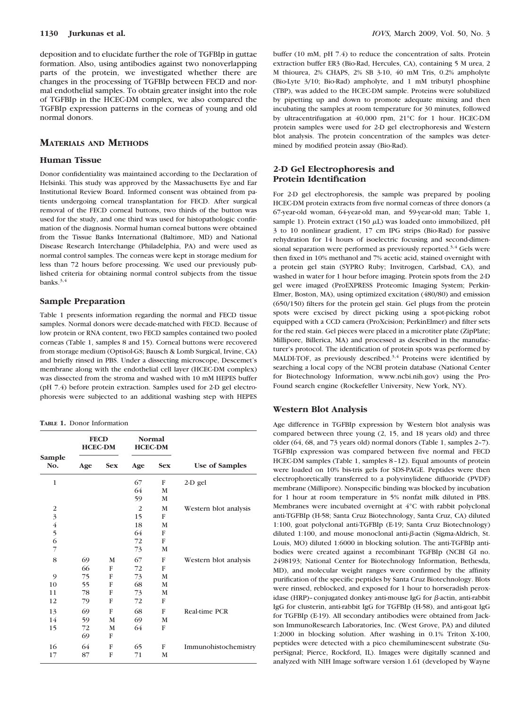deposition and to elucidate further the role of TGFBIp in guttae formation. Also, using antibodies against two nonoverlapping parts of the protein, we investigated whether there are changes in the processing of TGFBIp between FECD and normal endothelial samples. To obtain greater insight into the role of TGFBIp in the HCEC-DM complex, we also compared the TGFBIp expression patterns in the corneas of young and old normal donors.

#### **MATERIALS AND METHODS**

#### **Human Tissue**

Donor confidentiality was maintained according to the Declaration of Helsinki. This study was approved by the Massachusetts Eye and Ear Institutional Review Board. Informed consent was obtained from patients undergoing corneal transplantation for FECD. After surgical removal of the FECD corneal buttons, two thirds of the button was used for the study, and one third was used for histopathologic confirmation of the diagnosis. Normal human corneal buttons were obtained from the Tissue Banks International (Baltimore, MD) and National Disease Research Interchange (Philadelphia, PA) and were used as normal control samples. The corneas were kept in storage medium for less than 72 hours before processing. We used our previously published criteria for obtaining normal control subjects from the tissue banks. $3,4$ 

#### **Sample Preparation**

Table 1 presents information regarding the normal and FECD tissue samples. Normal donors were decade-matched with FECD. Because of low protein or RNA content, two FECD samples contained two pooled corneas (Table 1, samples 8 and 15). Corneal buttons were recovered from storage medium (Optisol-GS; Bausch & Lomb Surgical, Irvine, CA) and briefly rinsed in PBS. Under a dissecting microscope, Descemet's membrane along with the endothelial cell layer (HCEC-DM complex) was dissected from the stroma and washed with 10 mM HEPES buffer (pH 7.4) before protein extraction. Samples used for 2-D gel electrophoresis were subjected to an additional washing step with HEPES

**TABLE 1.** Donor Information

| Sample<br>No.           | <b>FECD</b><br><b>HCEC-DM</b> |            | <b>Normal</b><br><b>HCEC-DM</b> |            |                       |
|-------------------------|-------------------------------|------------|---------------------------------|------------|-----------------------|
|                         | Age                           | <b>Sex</b> | Age                             | <b>Sex</b> | Use of Samples        |
| $\mathbf{1}$            |                               |            | 67                              | F          | 2-D gel               |
|                         |                               |            | 64                              | M          |                       |
|                         |                               |            | 59                              | M          |                       |
| $\overline{\mathbf{c}}$ |                               |            | $\overline{2}$                  | M          | Western blot analysis |
|                         |                               |            | 15                              | F          |                       |
| 3456                    |                               |            | 18                              | М          |                       |
|                         |                               |            | 64                              | F          |                       |
|                         |                               |            | 72                              | F          |                       |
| $\overline{7}$          |                               |            | 73                              | M          |                       |
| 8                       | 69                            | M          | 67                              | F          | Western blot analysis |
|                         | 66                            | F          | 72                              | F          |                       |
| 9                       | 75                            | F          | 73                              | M          |                       |
| 10                      | 55                            | F          | 68                              | M          |                       |
| 11                      | 78                            | F          | 73                              | M          |                       |
| 12                      | 79                            | F          | 72                              | F          |                       |
| 13                      | 69                            | F          | 68                              | F          | <b>Real-time PCR</b>  |
| 14                      | 59                            | M          | 69                              | M          |                       |
| 15                      | 72                            | M          | 64                              | F          |                       |
|                         | 69                            | F          |                                 |            |                       |
| 16                      | 64                            | F          | 65                              | F          | Immunohistochemistry  |
| 17                      | 87                            | F          | 71                              | М          |                       |

buffer (10 mM, pH 7.4) to reduce the concentration of salts. Protein extraction buffer ER3 (Bio-Rad, Hercules, CA), containing 5 M urea, 2 M thiourea, 2% CHAPS, 2% SB 3-10, 40 mM Tris, 0.2% ampholyte (Bio-Lyte 3/10; Bio-Rad) ampholyte, and 1 mM tributyl phosphine (TBP), was added to the HCEC-DM sample. Proteins were solubilized by pipetting up and down to promote adequate mixing and then incubating the samples at room temperature for 30 minutes, followed by ultracentrifugation at 40,000 rpm, 21°C for 1 hour. HCEC-DM protein samples were used for 2-D gel electrophoresis and Western blot analysis. The protein concentration of the samples was determined by modified protein assay (Bio-Rad).

#### **2-D Gel Electrophoresis and Protein Identification**

For 2-D gel electrophoresis, the sample was prepared by pooling HCEC-DM protein extracts from five normal corneas of three donors (a 67-year-old woman, 64-year-old man, and 59-year-old man; Table 1, sample 1). Protein extract (150  $\mu$ L) was loaded onto immobilized, pH 3 to 10 nonlinear gradient, 17 cm IPG strips (Bio-Rad) for passive rehydration for 14 hours of isoelectric focusing and second-dimensional separation were performed as previously reported.<sup>3,4</sup> Gels were then fixed in 10% methanol and 7% acetic acid, stained overnight with a protein gel stain (SYPRO Ruby; Invitrogen, Carlsbad, CA), and washed in water for 1 hour before imaging. Protein spots from the 2-D gel were imaged (ProEXPRESS Proteomic Imaging System; Perkin-Elmer, Boston, MA), using optimized excitation (480/80) and emission (650/150) filters for the protein gel stain. Gel plugs from the protein spots were excised by direct picking using a spot-picking robot equipped with a CCD camera (ProXcision; PerkinElmer) and filter sets for the red stain. Gel pieces were placed in a microtiter plate (ZipPlate; Millipore, Billerica, MA) and processed as described in the manufacturer's protocol. The identification of protein spots was performed by MALDI-TOF, as previously described.<sup>3,4</sup> Proteins were identified by searching a local copy of the NCBI protein database (National Center for Biotechnology Information, www.ncbi.nih.gov) using the Pro-Found search engine (Rockefeller University, New York, NY).

#### **Western Blot Analysis**

Age difference in TGFBIp expression by Western blot analysis was compared between three young (2, 15, and 18 years old) and three older (64, 68, and 73 years old) normal donors (Table 1, samples 2–7). TGFBIp expression was compared between five normal and FECD HCEC-DM samples (Table 1, samples 8–12). Equal amounts of protein were loaded on 10% bis-tris gels for SDS-PAGE. Peptides were then electrophoretically transferred to a polyvinylidene difluoride (PVDF) membrane (Millipore). Nonspecific binding was blocked by incubation for 1 hour at room temperature in 5% nonfat milk diluted in PBS. Membranes were incubated overnight at 4°C with rabbit polyclonal anti-TGFBIp (H-58; Santa Cruz Biotechnology, Santa Cruz, CA) diluted 1:100, goat polyclonal anti-TGFBIp (E-19; Santa Cruz Biotechnology) diluted 1:100, and mouse monoclonal anti- $\beta$ -actin (Sigma-Aldrich, St. Louis, MO) diluted 1:6000 in blocking solution. The anti-TGFBIp antibodies were created against a recombinant TGFBIp (NCBI GI no. 2498193; National Center for Biotechnology Information, Bethesda, MD), and molecular weight ranges were confirmed by the affinity purification of the specific peptides by Santa Cruz Biotechnology. Blots were rinsed, reblocked, and exposed for 1 hour to horseradish peroxidase (HRP)-conjugated donkey anti-mouse IgG for  $\beta$ -actin, anti-rabbit IgG for clusterin, anti-rabbit IgG for TGFBIp (H-58), and anti-goat IgG for TGFBIp (E-19). All secondary antibodies were obtained from Jackson ImmunoResearch Laboratories, Inc. (West Grove, PA) and diluted 1:2000 in blocking solution. After washing in 0.1% Triton X-100, peptides were detected with a pico chemiluminescent substrate (SuperSignal; Pierce, Rockford, IL). Images were digitally scanned and analyzed with NIH Image software version 1.61 (developed by Wayne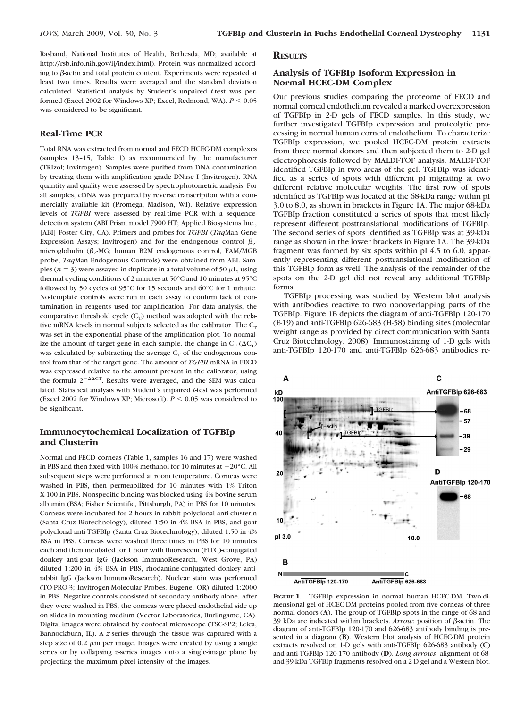Rasband, National Institutes of Health, Bethesda, MD; available at http://rsb.info.nih.gov/ij/index.html). Protein was normalized according to  $\beta$ -actin and total protein content. Experiments were repeated at least two times. Results were averaged and the standard deviation calculated. Statistical analysis by Student's unpaired *t*-test was performed (Excel 2002 for Windows XP; Excel, Redmond, WA).  $P \le 0.05$ was considered to be significant.

#### **Real-Time PCR**

Total RNA was extracted from normal and FECD HCEC-DM complexes (samples 13–15, Table 1) as recommended by the manufacturer (TRIzol; Invitrogen). Samples were purified from DNA contamination by treating them with amplification grade DNase I (Invitrogen). RNA quantity and quality were assessed by spectrophotometric analysis. For all samples, cDNA was prepared by reverse transcription with a commercially available kit (Promega, Madison, WI). Relative expression levels of *TGFBI* were assessed by real-time PCR with a sequencedetection system (ABI Prism model 7900 HT; Applied Biosystems Inc., [ABI] Foster City, CA). Primers and probes for *TGFBI* (*Taq*Man Gene Expression Assays; Invitrogen) and for the endogenous control  $\beta_2$ microglobulin ( $\beta$ <sub>2</sub>-MG; human B2M endogenous control, FAM/MGB probe, *Taq*Man Endogenous Controls) were obtained from ABI. Samples ( $n = 3$ ) were assayed in duplicate in a total volume of 50  $\mu$ L, using thermal cycling conditions of 2 minutes at 50°C and 10 minutes at 95°C followed by 50 cycles of 95°C for 15 seconds and 60°C for 1 minute. No-template controls were run in each assay to confirm lack of contamination in reagents used for amplification. For data analysis, the comparative threshold cycle  $(C_T)$  method was adopted with the relative mRNA levels in normal subjects selected as the calibrator. The  $C_T$ was set in the exponential phase of the amplification plot. To normalize the amount of target gene in each sample, the change in  $C_T (\Delta C_T)$ was calculated by subtracting the average  $C_T$  of the endogenous control from that of the target gene. The amount of *TGFBI* mRNA in FECD was expressed relative to the amount present in the calibrator, using the formula  $2^{-\Delta\Delta CT}$ . Results were averaged, and the SEM was calculated. Statistical analysis with Student's unpaired *t*-test was performed (Excel 2002 for Windows XP; Microsoft).  $P \leq 0.05$  was considered to be significant.

#### **Immunocytochemical Localization of TGFBIp and Clusterin**

Normal and FECD corneas (Table 1, samples 16 and 17) were washed in PBS and then fixed with 100% methanol for 10 minutes at  $-20^{\circ}$ C. All subsequent steps were performed at room temperature. Corneas were washed in PBS, then permeabilized for 10 minutes with 1% Triton X-100 in PBS. Nonspecific binding was blocked using 4% bovine serum albumin (BSA; Fisher Scientific, Pittsburgh, PA) in PBS for 10 minutes. Corneas were incubated for 2 hours in rabbit polyclonal anti-clusterin (Santa Cruz Biotechnology), diluted 1:50 in 4% BSA in PBS, and goat polyclonal anti-TGFBIp (Santa Cruz Biotechnology), diluted 1:50 in 4% BSA in PBS. Corneas were washed three times in PBS for 10 minutes each and then incubated for 1 hour with fluorescein (FITC)-conjugated donkey anti-goat IgG (Jackson ImmunoResearch, West Grove, PA) diluted 1:200 in 4% BSA in PBS, rhodamine-conjugated donkey antirabbit IgG (Jackson ImmunoResearch). Nuclear stain was performed (TO-PRO-3; Invitrogen-Molecular Probes, Eugene, OR) diluted 1:2000 in PBS. Negative controls consisted of secondary antibody alone. After they were washed in PBS, the corneas were placed endothelial side up on slides in mounting medium (Vector Laboratories, Burlingame, CA). Digital images were obtained by confocal microscope (TSC-SP2; Leica, Bannockburn, IL). A *z*-series through the tissue was captured with a step size of  $0.2 \mu m$  per image. Images were created by using a single series or by collapsing *z*-series images onto a single-image plane by projecting the maximum pixel intensity of the images.

#### **RESULTS**

#### **Analysis of TGFBIp Isoform Expression in Normal HCEC-DM Complex**

Our previous studies comparing the proteome of FECD and normal corneal endothelium revealed a marked overexpression of TGFBIp in 2-D gels of FECD samples. In this study, we further investigated TGFBIp expression and proteolytic processing in normal human corneal endothelium. To characterize TGFBIp expression, we pooled HCEC-DM protein extracts from three normal donors and then subjected them to 2-D gel electrophoresis followed by MALDI-TOF analysis. MALDI-TOF identified TGFBIp in two areas of the gel. TGFBIp was identified as a series of spots with different pI migrating at two different relative molecular weights. The first row of spots identified as TGFBIp was located at the 68-kDa range within pI 3.0 to 8.0, as shown in brackets in Figure 1A. The major 68-kDa TGFBIp fraction constituted a series of spots that most likely represent different posttranslational modifications of TGFBIp. The second series of spots identified as TGFBIp was at 39-kDa range as shown in the lower brackets in Figure 1A. The 39-kDa fragment was formed by six spots within pI 4.5 to 6.0, apparently representing different posttranslational modification of this TGFBIp form as well. The analysis of the remainder of the spots on the 2-D gel did not reveal any additional TGFBIp forms.

TGFBIp processing was studied by Western blot analysis with antibodies reactive to two nonoverlapping parts of the TGFBIp. Figure 1B depicts the diagram of anti-TGFBIp 120-170 (E-19) and anti-TGFBIp 626-683 (H-58) binding sites (molecular weight range as provided by direct communication with Santa Cruz Biotechnology, 2008). Immunostaining of 1-D gels with anti-TGFBIp 120-170 and anti-TGFBIp 626-683 antibodies re-



**FIGURE 1.** TGFBIp expression in normal human HCEC-DM. Two-dimensional gel of HCEC-DM proteins pooled from five corneas of three normal donors (**A**). The group of TGFBIp spots in the range of 68 and  $39$  kDa are indicated within brackets. *Arrow*: position of  $\beta$ -actin. The diagram of anti-TGFBIp 120-170 and 626-683 antibody binding is presented in a diagram (**B**). Western blot analysis of HCEC-DM protein extracts resolved on 1-D gels with anti-TGFBIp 626-683 antibody (**C**) and anti-TGFBIp 120-170 antibody (**D**). *Long arrows*: alignment of 68 and 39-kDa TGFBIp fragments resolved on a 2-D gel and a Western blot.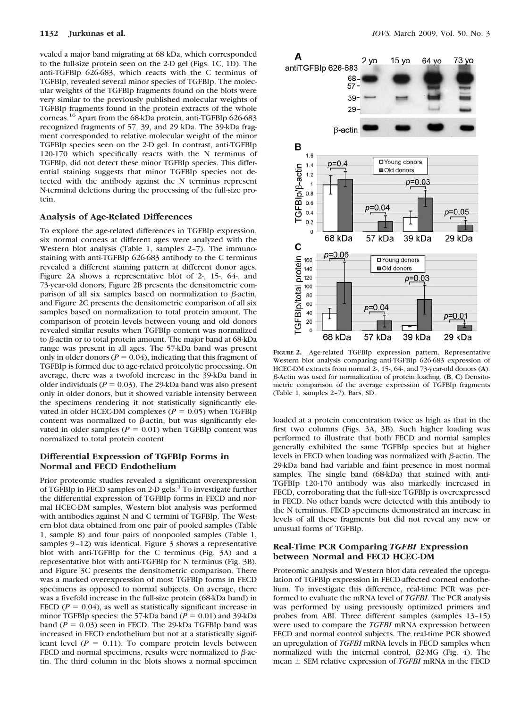vealed a major band migrating at 68 kDa, which corresponded to the full-size protein seen on the 2-D gel (Figs. 1C, 1D). The anti-TGFBIp 626-683, which reacts with the C terminus of TGFBIp, revealed several minor species of TGFBIp. The molecular weights of the TGFBIp fragments found on the blots were very similar to the previously published molecular weights of TGFBIp fragments found in the protein extracts of the whole corneas.16 Apart from the 68-kDa protein, anti-TGFBIp 626-683 recognized fragments of 57, 39, and 29 kDa. The 39-kDa fragment corresponded to relative molecular weight of the minor TGFBIp species seen on the 2-D gel. In contrast, anti-TGFBIp 120-170 which specifically reacts with the N terminus of TGFBIp, did not detect these minor TGFBIp species. This differential staining suggests that minor TGFBIp species not detected with the antibody against the N terminus represent N-terminal deletions during the processing of the full-size protein.

#### **Analysis of Age-Related Differences**

To explore the age-related differences in TGFBIp expression, six normal corneas at different ages were analyzed with the Western blot analysis (Table 1, samples 2–7). The immunostaining with anti-TGFBIp 626-683 antibody to the C terminus revealed a different staining pattern at different donor ages. Figure 2A shows a representative blot of 2-, 15-, 64-, and 73-year-old donors, Figure 2B presents the densitometric comparison of all six samples based on normalization to  $\beta$ -actin, and Figure 2C presents the densitometric comparison of all six samples based on normalization to total protein amount. The comparison of protein levels between young and old donors revealed similar results when TGFBIp content was normalized to  $\beta$ -actin or to total protein amount. The major band at 68-kDa range was present in all ages. The 57-kDa band was present only in older donors ( $P = 0.04$ ), indicating that this fragment of TGFBIp is formed due to age-related proteolytic processing. On average, there was a twofold increase in the 39-kDa band in older individuals ( $P = 0.03$ ). The 29-kDa band was also present only in older donors, but it showed variable intensity between the specimens rendering it not statistically significantly elevated in older HCEC-DM complexes ( $P = 0.05$ ) when TGFBIp content was normalized to  $\beta$ -actin, but was significantly elevated in older samples ( $P = 0.01$ ) when TGFBIp content was normalized to total protein content.

#### **Differential Expression of TGFBIp Forms in Normal and FECD Endothelium**

Prior proteomic studies revealed a significant overexpression of TGFBIp in FECD samples on 2-D gels.<sup>3</sup> To investigate further the differential expression of TGFBIp forms in FECD and normal HCEC-DM samples, Western blot analysis was performed with antibodies against N and C termini of TGFBIp. The Western blot data obtained from one pair of pooled samples (Table 1, sample 8) and four pairs of nonpooled samples (Table 1, samples 9-12) was identical. Figure 3 shows a representative blot with anti-TGFBIp for the C terminus (Fig. 3A) and a representative blot with anti-TGFBIp for N terminus (Fig. 3B), and Figure 3C presents the densitometric comparison. There was a marked overexpression of most TGFBIp forms in FECD specimens as opposed to normal subjects. On average, there was a fivefold increase in the full-size protein (68-kDa band) in FECD ( $P = 0.04$ ), as well as statistically significant increase in minor TGFBIp species: the 57-kDa band  $(P = 0.01)$  and 39-kDa band  $(P = 0.03)$  seen in FECD. The 29-kDa TGFBIp band was increased in FECD endothelium but not at a statistically significant level  $(P = 0.11)$ . To compare protein levels between FECD and normal specimens, results were normalized to  $\beta$ -actin. The third column in the blots shows a normal specimen



**FIGURE 2.** Age-related TGFBIp expression pattern. Representative Western blot analysis comparing anti-TGFBIp 626-683 expression of HCEC-DM extracts from normal 2-, 15-, 64-, and 73-year-old donors (**A**). -Actin was used for normalization of protein loading. (**B**, **C**) Densitometric comparison of the average expression of TGFBIp fragments (Table 1, samples 2–7). Bars, SD.

loaded at a protein concentration twice as high as that in the first two columns (Figs. 3A, 3B). Such higher loading was performed to illustrate that both FECD and normal samples generally exhibited the same TGFBIp species but at higher levels in FECD when loading was normalized with  $\beta$ -actin. The 29-kDa band had variable and faint presence in most normal samples. The single band (68-kDa) that stained with anti-TGFBIp 120-170 antibody was also markedly increased in FECD, corroborating that the full-size TGFBIp is overexpressed in FECD. No other bands were detected with this antibody to the N terminus. FECD specimens demonstrated an increase in levels of all these fragments but did not reveal any new or unusual forms of TGFBIp.

#### **Real-Time PCR Comparing** *TGFBI* **Expression between Normal and FECD HCEC-DM**

Proteomic analysis and Western blot data revealed the upregulation of TGFBIp expression in FECD-affected corneal endothelium. To investigate this difference, real-time PCR was performed to evaluate the mRNA level of *TGFBI*. The PCR analysis was performed by using previously optimized primers and probes from ABI. Three different samples (samples 13–15) were used to compare the *TGFBI* mRNA expression between FECD and normal control subjects. The real-time PCR showed an upregulation of *TGFBI* mRNA levels in FECD samples when normalized with the internal control,  $\beta$ 2-MG (Fig. 4). The mean  $\pm$  SEM relative expression of *TGFBI* mRNA in the FECD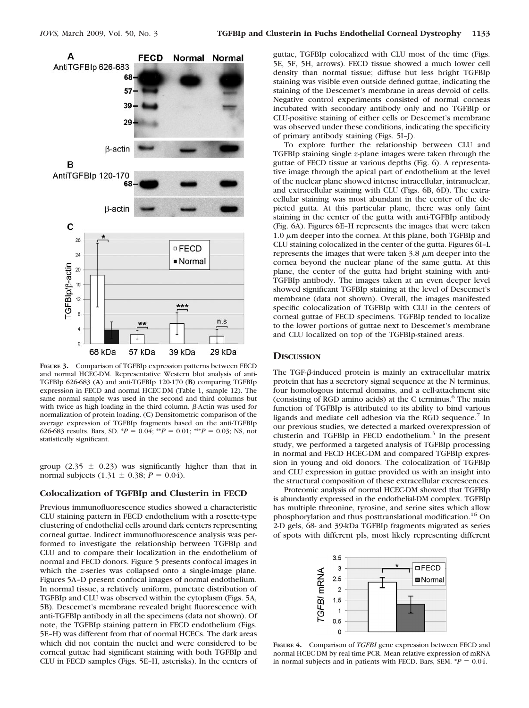

**FIGURE 3.** Comparison of TGFBIp expression patterns between FECD and normal HCEC-DM. Representative Western blot analysis of anti-TGFBIp 626-683 (**A**) and anti-TGFBIp 120-170 (**B**) comparing TGFBIp expression in FECD and normal HCEC-DM (Table 1, sample 12). The same normal sample was used in the second and third columns but with twice as high loading in the third column.  $\beta$ -Actin was used for normalization of protein loading. (**C**) Densitometric comparison of the average expression of TGFBIp fragments based on the anti-TGFBIp 626-683 results. Bars, SD.  $^*P = 0.04$ ;  $^{**}P = 0.01$ ;  $^{***}P = 0.03$ ; NS, not statistically significant.

group (2.35  $\pm$  0.23) was significantly higher than that in normal subjects  $(1.31 \pm 0.38; P = 0.04)$ .

#### **Colocalization of TGFBIp and Clusterin in FECD**

Previous immunofluorescence studies showed a characteristic CLU staining pattern in FECD endothelium with a rosette-type clustering of endothelial cells around dark centers representing corneal guttae. Indirect immunofluorescence analysis was performed to investigate the relationship between TGFBIp and CLU and to compare their localization in the endothelium of normal and FECD donors. Figure 5 presents confocal images in which the *z*-series was collapsed onto a single-image plane. Figures 5A–D present confocal images of normal endothelium. In normal tissue, a relatively uniform, punctate distribution of TGFBIp and CLU was observed within the cytoplasm (Figs. 5A, 5B). Descemet's membrane revealed bright fluorescence with anti-TGFBIp antibody in all the specimens (data not shown). Of note, the TGFBIp staining pattern in FECD endothelium (Figs. 5E–H) was different from that of normal HCECs. The dark areas which did not contain the nuclei and were considered to be corneal guttae had significant staining with both TGFBIp and CLU in FECD samples (Figs. 5E–H, asterisks). In the centers of guttae, TGFBIp colocalized with CLU most of the time (Figs. 5E, 5F, 5H, arrows). FECD tissue showed a much lower cell density than normal tissue; diffuse but less bright TGFBIp staining was visible even outside defined guttae, indicating the staining of the Descemet's membrane in areas devoid of cells. Negative control experiments consisted of normal corneas incubated with secondary antibody only and no TGFBIp or CLU-positive staining of either cells or Descemet's membrane was observed under these conditions, indicating the specificity of primary antibody staining (Figs. 5I–J).

To explore further the relationship between CLU and TGFBIp staining single *z*-plane images were taken through the guttae of FECD tissue at various depths (Fig. 6). A representative image through the apical part of endothelium at the level of the nuclear plane showed intense intracellular, intranuclear, and extracellular staining with CLU (Figs. 6B, 6D). The extracellular staining was most abundant in the center of the depicted gutta. At this particular plane, there was only faint staining in the center of the gutta with anti-TGFBIp antibody (Fig. 6A). Figures 6E–H represents the images that were taken  $1.0 \mu$ m deeper into the cornea. At this plane, both TGFBIp and CLU staining colocalized in the center of the gutta. Figures 6I–L represents the images that were taken  $3.8 \mu m$  deeper into the cornea beyond the nuclear plane of the same gutta. At this plane, the center of the gutta had bright staining with anti-TGFBIp antibody. The images taken at an even deeper level showed significant TGFBIp staining at the level of Descemet's membrane (data not shown). Overall, the images manifested specific colocalization of TGFBIp with CLU in the centers of corneal guttae of FECD specimens. TGFBIp tended to localize to the lower portions of guttae next to Descemet's membrane and CLU localized on top of the TGFBIp-stained areas.

#### **DISCUSSION**

The TGF- $\beta$ -induced protein is mainly an extracellular matrix protein that has a secretory signal sequence at the N terminus, four homologous internal domains, and a cell-attachment site (consisting of RGD amino acids) at the C terminus.<sup>6</sup> The main function of TGFBIp is attributed to its ability to bind various ligands and mediate cell adhesion via the RGD sequence.<sup>7</sup> In our previous studies, we detected a marked overexpression of clusterin and TGFBIp in FECD endothelium. $3$  In the present study, we performed a targeted analysis of TGFBIp processing in normal and FECD HCEC-DM and compared TGFBIp expression in young and old donors. The colocalization of TGFBIp and CLU expression in guttae provided us with an insight into the structural composition of these extracellular excrescences.

Proteomic analysis of normal HCEC-DM showed that TGFBIp is abundantly expressed in the endothelial-DM complex. TGFBIp has multiple threonine, tyrosine, and serine sites which allow phosphorylation and thus posttranslational modification.<sup>16</sup> On 2-D gels, 68- and 39-kDa TGFBIp fragments migrated as series of spots with different pIs, most likely representing different



**FIGURE 4.** Comparison of *TGFBI* gene expression between FECD and normal HCEC-DM by real-time PCR. Mean relative expression of mRNA in normal subjects and in patients with FECD. Bars, SEM.  $*P = 0.04$ .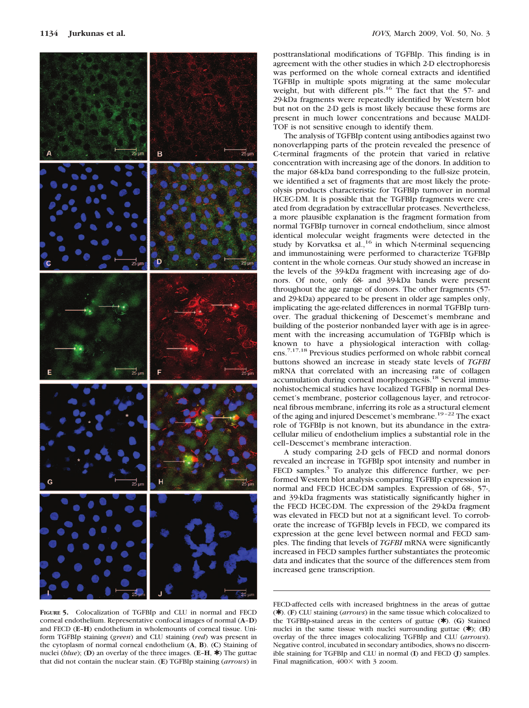

**FIGURE 5.** Colocalization of TGFBIp and CLU in normal and FECD corneal endothelium. Representative confocal images of normal (**A**–**D**) and FECD (**E**–**H**) endothelium in wholemounts of corneal tissue. Uniform TGFBIp staining (*green*) and CLU staining (*red*) was present in the cytoplasm of normal corneal endothelium (**A**, **B**). (**C**) Staining of nuclei (*blue*); (**D**) an overlay of the three images. (**E**–**H**, ✱) The guttae that did not contain the nuclear stain. (**E**) TGFBIp staining (*arrows*) in

posttranslational modifications of TGFBIp. This finding is in agreement with the other studies in which 2-D electrophoresis was performed on the whole corneal extracts and identified TGFBIp in multiple spots migrating at the same molecular weight, but with different pIs.<sup>16</sup> The fact that the 57- and 29-kDa fragments were repeatedly identified by Western blot but not on the 2-D gels is most likely because these forms are present in much lower concentrations and because MALDI-TOF is not sensitive enough to identify them.

The analysis of TGFBIp content using antibodies against two nonoverlapping parts of the protein revealed the presence of C-terminal fragments of the protein that varied in relative concentration with increasing age of the donors. In addition to the major 68-kDa band corresponding to the full-size protein, we identified a set of fragments that are most likely the proteolysis products characteristic for TGFBIp turnover in normal HCEC-DM. It is possible that the TGFBIp fragments were created from degradation by extracellular proteases. Nevertheless, a more plausible explanation is the fragment formation from normal TGFBIp turnover in corneal endothelium, since almost identical molecular weight fragments were detected in the study by Korvatksa et al.,<sup>16</sup> in which N-terminal sequencing and immunostaining were performed to characterize TGFBIp content in the whole corneas. Our study showed an increase in the levels of the 39-kDa fragment with increasing age of donors. Of note, only 68- and 39-kDa bands were present throughout the age range of donors. The other fragments (57 and 29-kDa) appeared to be present in older age samples only, implicating the age-related differences in normal TGFBIp turnover. The gradual thickening of Descemet's membrane and building of the posterior nonbanded layer with age is in agreement with the increasing accumulation of TGFBIp which is known to have a physiological interaction with collagens.<sup>7,17,18</sup> Previous studies performed on whole rabbit corneal buttons showed an increase in steady state levels of *TGFBI* mRNA that correlated with an increasing rate of collagen accumulation during corneal morphogenesis.<sup>18</sup> Several immunohistochemical studies have localized TGFBIp in normal Descemet's membrane, posterior collagenous layer, and retrocorneal fibrous membrane, inferring its role as a structural element of the aging and injured Descemet's membrane.<sup>19-22</sup> The exact role of TGFBIp is not known, but its abundance in the extracellular milieu of endothelium implies a substantial role in the cell–Descemet's membrane interaction.

A study comparing 2-D gels of FECD and normal donors revealed an increase in TGFBIp spot intensity and number in FECD samples.<sup>3</sup> To analyze this difference further, we performed Western blot analysis comparing TGFBIp expression in normal and FECD HCEC-DM samples. Expression of 68-, 57-, and 39-kDa fragments was statistically significantly higher in the FECD HCEC-DM. The expression of the 29-kDa fragment was elevated in FECD but not at a significant level. To corroborate the increase of TGFBIp levels in FECD, we compared its expression at the gene level between normal and FECD samples. The finding that levels of *TGFBI* mRNA were significantly increased in FECD samples further substantiates the proteomic data and indicates that the source of the differences stem from increased gene transcription.

FECD-affected cells with increased brightness in the areas of guttae (✱). (**F**) CLU staining (*arrows*) in the same tissue which colocalized to the TGFBIp-stained areas in the centers of guttae (✱). (**G**) Stained nuclei in the same tissue with nuclei surrounding guttae (✱); (**H**) overlay of the three images colocalizing TGFBIp and CLU (*arrows*). Negative control, incubated in secondary antibodies, shows no discernible staining for TGFBIp and CLU in normal (**I**) and FECD (**J**) samples. Final magnification,  $400 \times$  with 3 zoom.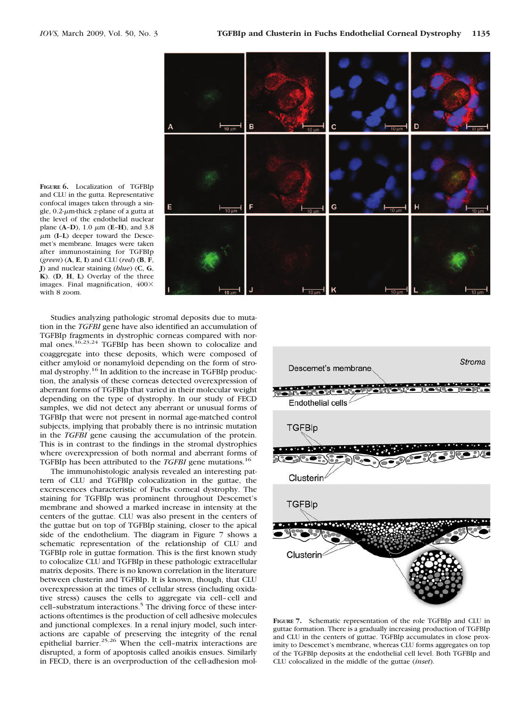

**FIGURE 6.** Localization of TGFBIp and CLU in the gutta. Representative confocal images taken through a single, 0.2-m-thick *z*-plane of a gutta at the level of the endothelial nuclear plane ( $A$ – $D$ ), 1.0  $\mu$ m ( $E$ – $H$ ), and 3.8 m (**I**–**L**) deeper toward the Descemet's membrane. Images were taken after immunostaining for TGFBIp (*green*) (**A**, **E**, **I**) and CLU (*red*) (**B**, **F**, **J**) and nuclear staining (*blue*) (**C**, **G**, **K**). (**D**, **H**, **L**) Overlay of the three images. Final magnification, 400 with 8 zoom.

Studies analyzing pathologic stromal deposits due to mutation in the *TGFBI* gene have also identified an accumulation of TGFBIp fragments in dystrophic corneas compared with nor-mal ones.16,23,24 TGFBIp has been shown to colocalize and coaggregate into these deposits, which were composed of either amyloid or nonamyloid depending on the form of stromal dystrophy.16 In addition to the increase in TGFBIp production, the analysis of these corneas detected overexpression of aberrant forms of TGFBIp that varied in their molecular weight depending on the type of dystrophy. In our study of FECD samples, we did not detect any aberrant or unusual forms of TGFBIp that were not present in normal age-matched control subjects, implying that probably there is no intrinsic mutation in the *TGFBI* gene causing the accumulation of the protein. This is in contrast to the findings in the stromal dystrophies where overexpression of both normal and aberrant forms of TGFBIp has been attributed to the *TGFBI* gene mutations.16

The immunohistologic analysis revealed an interesting pattern of CLU and TGFBIp colocalization in the guttae, the excrescences characteristic of Fuchs corneal dystrophy. The staining for TGFBIp was prominent throughout Descemet's membrane and showed a marked increase in intensity at the centers of the guttae. CLU was also present in the centers of the guttae but on top of TGFBIp staining, closer to the apical side of the endothelium. The diagram in Figure 7 shows a schematic representation of the relationship of CLU and TGFBIp role in guttae formation. This is the first known study to colocalize CLU and TGFBIp in these pathologic extracellular matrix deposits. There is no known correlation in the literature between clusterin and TGFBIp. It is known, though, that CLU overexpression at the times of cellular stress (including oxidative stress) causes the cells to aggregate via cell–cell and cell-substratum interactions.<sup>5</sup> The driving force of these interactions oftentimes is the production of cell adhesive molecules and junctional complexes. In a renal injury model, such interactions are capable of preserving the integrity of the renal epithelial barrier.<sup>25,26</sup> When the cell-matrix interactions are disrupted, a form of apoptosis called anoikis ensues. Similarly in FECD, there is an overproduction of the cell-adhesion mol-



**FIGURE 7.** Schematic representation of the role TGFBIp and CLU in guttae formation. There is a gradually increasing production of TGFBIp and CLU in the centers of guttae. TGFBIp accumulates in close proximity to Descemet's membrane, whereas CLU forms aggregates on top of the TGFBIp deposits at the endothelial cell level. Both TGFBIp and CLU colocalized in the middle of the guttae (*inset*).